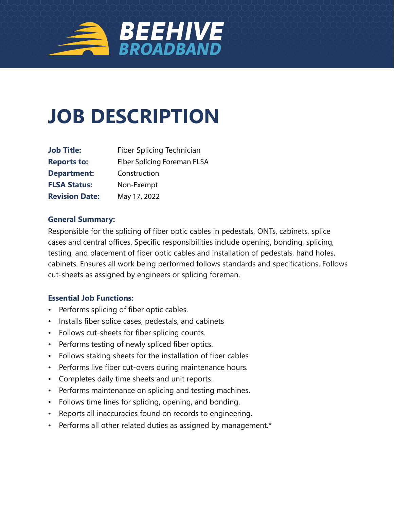

# **JOB DESCRIPTION**

| <b>Job Title:</b>     | Fiber Splicing Technician<br><b>Fiber Splicing Foreman FLSA</b> |  |  |  |
|-----------------------|-----------------------------------------------------------------|--|--|--|
| <b>Reports to:</b>    |                                                                 |  |  |  |
| <b>Department:</b>    | Construction                                                    |  |  |  |
| <b>FLSA Status:</b>   | Non-Exempt                                                      |  |  |  |
| <b>Revision Date:</b> | May 17, 2022                                                    |  |  |  |

#### **General Summary:**

Responsible for the splicing of fiber optic cables in pedestals, ONTs, cabinets, splice cases and central offices. Specific responsibilities include opening, bonding, splicing, testing, and placement of fiber optic cables and installation of pedestals, hand holes, cabinets. Ensures all work being performed follows standards and specifications. Follows cut-sheets as assigned by engineers or splicing foreman.

#### **Essential Job Functions:**

- Performs splicing of fiber optic cables.
- Installs fiber splice cases, pedestals, and cabinets
- Follows cut-sheets for fiber splicing counts.
- Performs testing of newly spliced fiber optics.
- Follows staking sheets for the installation of fiber cables
- Performs live fiber cut-overs during maintenance hours.
- Completes daily time sheets and unit reports.
- Performs maintenance on splicing and testing machines.
- Follows time lines for splicing, opening, and bonding.
- Reports all inaccuracies found on records to engineering.
- Performs all other related duties as assigned by management.\*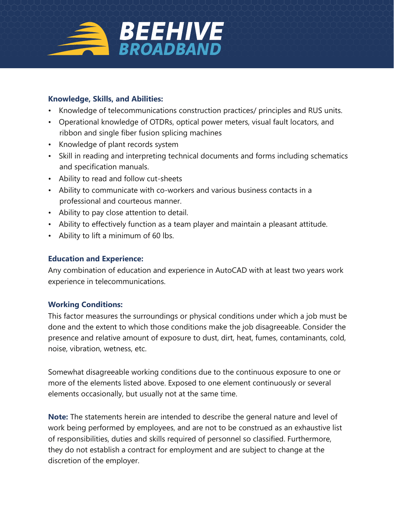

## **Knowledge, Skills, and Abilities:**

- Knowledge of telecommunications construction practices/ principles and RUS units.
- Operational knowledge of OTDRs, optical power meters, visual fault locators, and ribbon and single fiber fusion splicing machines
- Knowledge of plant records system
- Skill in reading and interpreting technical documents and forms including schematics and specification manuals.
- Ability to read and follow cut-sheets
- Ability to communicate with co-workers and various business contacts in a professional and courteous manner.
- Ability to pay close attention to detail.
- Ability to effectively function as a team player and maintain a pleasant attitude.
- Ability to lift a minimum of 60 lbs.

## **Education and Experience:**

Any combination of education and experience in AutoCAD with at least two years work experience in telecommunications.

#### **Working Conditions:**

This factor measures the surroundings or physical conditions under which a job must be done and the extent to which those conditions make the job disagreeable. Consider the presence and relative amount of exposure to dust, dirt, heat, fumes, contaminants, cold, noise, vibration, wetness, etc.

Somewhat disagreeable working conditions due to the continuous exposure to one or more of the elements listed above. Exposed to one element continuously or several elements occasionally, but usually not at the same time.

**Note:** The statements herein are intended to describe the general nature and level of work being performed by employees, and are not to be construed as an exhaustive list of responsibilities, duties and skills required of personnel so classified. Furthermore, they do not establish a contract for employment and are subject to change at the discretion of the employer.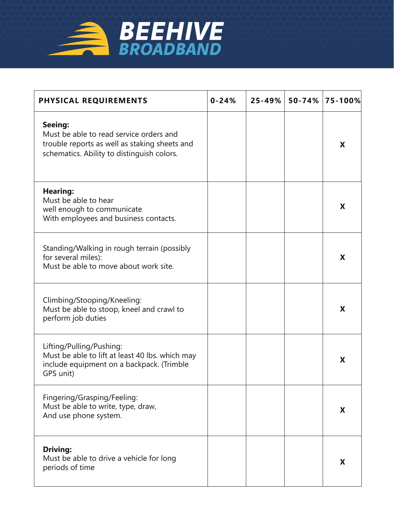

| PHYSICAL REQUIREMENTS                                                                                                                             | $0 - 24%$ | $25 - 49%$ | $50 - 74%$ | $\vert$ 75-100% $\vert$ |
|---------------------------------------------------------------------------------------------------------------------------------------------------|-----------|------------|------------|-------------------------|
| Seeing:<br>Must be able to read service orders and<br>trouble reports as well as staking sheets and<br>schematics. Ability to distinguish colors. |           |            |            | X                       |
| <b>Hearing:</b><br>Must be able to hear<br>well enough to communicate<br>With employees and business contacts.                                    |           |            |            | X                       |
| Standing/Walking in rough terrain (possibly<br>for several miles):<br>Must be able to move about work site.                                       |           |            |            | X                       |
| Climbing/Stooping/Kneeling:<br>Must be able to stoop, kneel and crawl to<br>perform job duties                                                    |           |            |            | X                       |
| Lifting/Pulling/Pushing:<br>Must be able to lift at least 40 lbs. which may<br>include equipment on a backpack. (Trimble<br>GPS unit)             |           |            |            | X                       |
| Fingering/Grasping/Feeling:<br>Must be able to write, type, draw,<br>And use phone system.                                                        |           |            |            | X                       |
| <b>Driving:</b><br>Must be able to drive a vehicle for long<br>periods of time                                                                    |           |            |            | X                       |